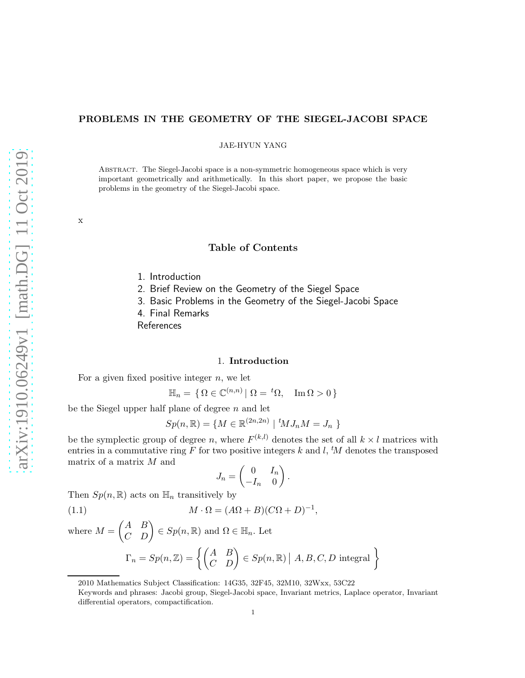# PROBLEMS IN THE GEOMETRY OF THE SIEGEL-JACOBI SPACE

JAE-HYUN YANG

Abstract. The Siegel-Jacobi space is a non-symmetric homogeneous space which is very important geometrically and arithmetically. In this short paper, we propose the basic problems in the geometry of the Siegel-Jacobi space.

 $\ensuremath{\mathbf{x}}$ 

# Table of Contents

- 1. Introduction
- 2. Brief Review on the Geometry of the Siegel Space
- 3. Basic Problems in the Geometry of the Siegel-Jacobi Space
- 4. Final Remarks

References

### 1. Introduction

For a given fixed positive integer  $n$ , we let

$$
\mathbb{H}_n = \{ \Omega \in \mathbb{C}^{(n,n)} \mid \Omega = {}^t\Omega, \quad \text{Im}\,\Omega > 0 \}
$$

be the Siegel upper half plane of degree  $n$  and let

$$
Sp(n, \mathbb{R}) = \{ M \in \mathbb{R}^{(2n, 2n)} \mid {}^{t}M J_n M = J_n \}
$$

be the symplectic group of degree n, where  $F^{(k,l)}$  denotes the set of all  $k \times l$  matrices with entries in a commutative ring F for two positive integers k and l,  $^tM$  denotes the transposed matrix of a matrix  $M$  and

$$
J_n = \begin{pmatrix} 0 & I_n \\ -I_n & 0 \end{pmatrix}
$$

.

Then  $Sp(n,\mathbb{R})$  acts on  $\mathbb{H}_n$  transitively by

(1.1) 
$$
M \cdot \Omega = (A\Omega + B)(C\Omega + D)^{-1},
$$

where  $M = \begin{pmatrix} A & B \\ C & D \end{pmatrix} \in Sp(n, \mathbb{R})$  and  $\Omega \in \mathbb{H}_n$ . Let  $\Gamma_n=Sp(n,\mathbb{Z})=\left\{\begin{pmatrix} A & B \ C & D \end{pmatrix}\in Sp(n,\mathbb{R})\left|\right. A,B,C,D\text{ integral }\right\}$ 

<sup>2010</sup> Mathematics Subject Classification: 14G35, 32F45, 32M10, 32Wxx, 53C22

Keywords and phrases: Jacobi group, Siegel-Jacobi space, Invariant metrics, Laplace operator, Invariant differential operators, compactification.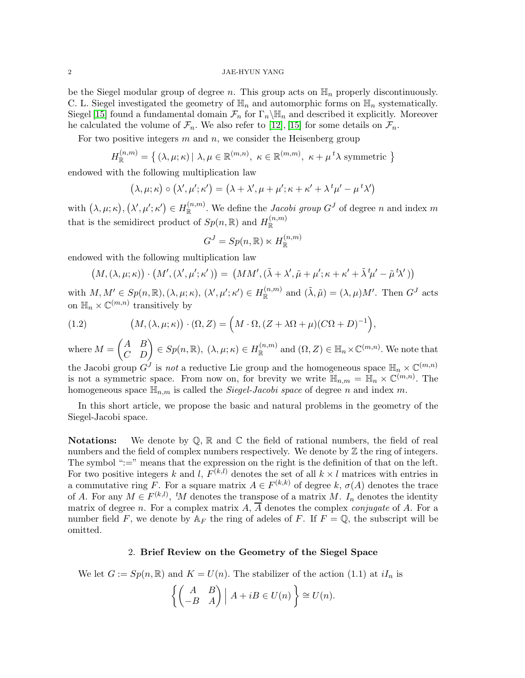#### 2 JAE-HYUN YANG

be the Siegel modular group of degree n. This group acts on  $\mathbb{H}_n$  properly discontinuously. C. L. Siegel investigated the geometry of  $\mathbb{H}_n$  and automorphic forms on  $\mathbb{H}_n$  systematically. Siegel [\[15\]](#page-6-0) found a fundamental domain  $\mathcal{F}_n$  for  $\Gamma_n \backslash \mathbb{H}_n$  and described it explicitly. Moreover he calculated the volume of  $\mathcal{F}_n$ . We also refer to [\[12\]](#page-6-1), [\[15\]](#page-6-0) for some details on  $\mathcal{F}_n$ .

For two positive integers  $m$  and  $n$ , we consider the Heisenberg group

$$
H_{\mathbb{R}}^{(n,m)} = \{ (\lambda, \mu; \kappa) | \lambda, \mu \in \mathbb{R}^{(m,n)}, \ \kappa \in \mathbb{R}^{(m,m)}, \ \kappa + \mu^{\dagger} \lambda \text{ symmetric } \}
$$

endowed with the following multiplication law

$$
(\lambda, \mu; \kappa) \circ (\lambda', \mu'; \kappa') = (\lambda + \lambda', \mu + \mu'; \kappa + \kappa' + \lambda^t \mu' - \mu^t \lambda')
$$

with  $(\lambda, \mu; \kappa), (\lambda', \mu'; \kappa') \in H_{\mathbb{R}}^{(n,m)}$  $\mathbb{R}^{(n,m)}$ . We define the *Jacobi group*  $G<sup>J</sup>$  of degree n and index m that is the semidirect product of  $Sp(n,\mathbb{R})$  and  $H_{\mathbb{R}}^{(n,m)}$ R

$$
G^J = Sp(n, \mathbb{R}) \ltimes H_{\mathbb{R}}^{(n,m)}
$$

endowed with the following multiplication law

$$
(M,(\lambda,\mu;\kappa))\cdot (M',(\lambda',\mu';\kappa')) = (MM',(\tilde{\lambda}+\lambda',\tilde{\mu}+\mu';\kappa+\kappa'+\tilde{\lambda}^t\mu'-\tilde{\mu}^t\lambda'))
$$

with  $M, M' \in Sp(n, \mathbb{R}), (\lambda, \mu; \kappa), (\lambda', \mu'; \kappa') \in H_{\mathbb{R}}^{(n,m)}$  $\chi^{(n,m)}$  and  $(\tilde{\lambda}, \tilde{\mu}) = (\lambda, \mu)M'$ . Then  $G^J$  acts on  $\mathbb{H}_n \times \mathbb{C}^{(m,n)}$  transitively by

(1.2) 
$$
(M, (\lambda, \mu; \kappa)) \cdot (\Omega, Z) = (M \cdot \Omega, (Z + \lambda \Omega + \mu)(C\Omega + D)^{-1}),
$$

where  $M = \begin{pmatrix} A & B \\ C & D \end{pmatrix} \in Sp(n, \mathbb{R}), \ (\lambda, \mu; \kappa) \in H_{\mathbb{R}}^{(n,m)}$  $\mathbb{R}^{(n,m)}$  and  $(\Omega, Z) \in \mathbb{H}_n \times \mathbb{C}^{(m,n)}$ . We note that the Jacobi group  $G^J$  is not a reductive Lie group and the homogeneous space  $\mathbb{H}_n \times \mathbb{C}^{(m,n)}$ is not a symmetric space. From now on, for brevity we write  $\mathbb{H}_{n,m} = \mathbb{H}_n \times \mathbb{C}^{(m,n)}$ . The homogeneous space  $\mathbb{H}_{n,m}$  is called the *Siegel-Jacobi space* of degree n and index m.

In this short article, we propose the basic and natural problems in the geometry of the Siegel-Jacobi space.

**Notations:** We denote by  $\mathbb{Q}$ ,  $\mathbb{R}$  and  $\mathbb{C}$  the field of rational numbers, the field of real numbers and the field of complex numbers respectively. We denote by  $\mathbb Z$  the ring of integers. The symbol ":=" means that the expression on the right is the definition of that on the left. For two positive integers k and l,  $F^{(k,l)}$  denotes the set of all  $k \times l$  matrices with entries in a commutative ring F. For a square matrix  $A \in F^{(k,k)}$  of degree k,  $\sigma(A)$  denotes the trace of A. For any  $M \in F^{(k,l)}$ , 'M denotes the transpose of a matrix M.  $I_n$  denotes the identity matrix of degree n. For a complex matrix  $A$ ,  $\overline{A}$  denotes the complex *conjugate* of A. For a number field F, we denote by  $A_F$  the ring of adeles of F. If  $F = \mathbb{Q}$ , the subscript will be omitted.

## 2. Brief Review on the Geometry of the Siegel Space

We let  $G := Sp(n, \mathbb{R})$  and  $K = U(n)$ . The stabilizer of the action (1.1) at  $iI_n$  is

$$
\left\{ \begin{pmatrix} A & B \\ -B & A \end{pmatrix} \middle| A + iB \in U(n) \right\} \cong U(n).
$$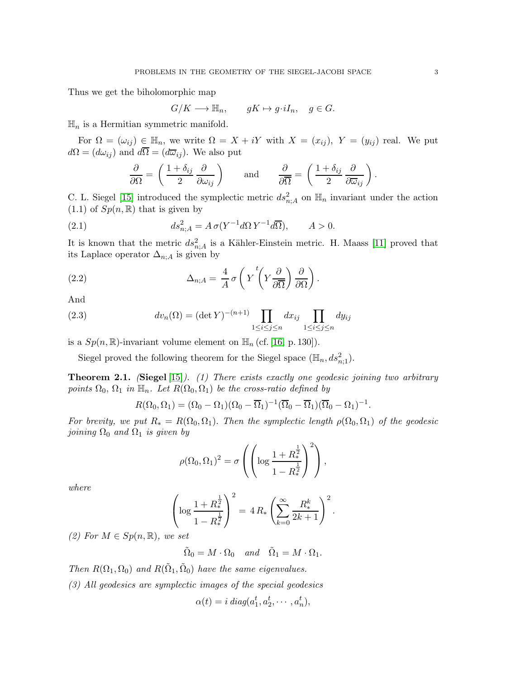Thus we get the biholomorphic map

$$
G/K \longrightarrow \mathbb{H}_n, \qquad gK \mapsto g \cdot iI_n, \quad g \in G.
$$

 $\mathbb{H}_n$  is a Hermitian symmetric manifold.

For  $\Omega = (\omega_{ij}) \in \mathbb{H}_n$ , we write  $\Omega = X + iY$  with  $X = (x_{ij})$ ,  $Y = (y_{ij})$  real. We put  $d\Omega = (d\omega_{ij})$  and  $d\overline{\Omega} = (d\overline{\omega}_{ij})$ . We also put

$$
\frac{\partial}{\partial \Omega} = \left( \frac{1 + \delta_{ij}}{2} \frac{\partial}{\partial \omega_{ij}} \right) \quad \text{and} \quad \frac{\partial}{\partial \overline{\Omega}} = \left( \frac{1 + \delta_{ij}}{2} \frac{\partial}{\partial \overline{\omega}_{ij}} \right).
$$

C. L. Siegel [\[15\]](#page-6-0) introduced the symplectic metric  $ds_{n,A}^2$  on  $\mathbb{H}_n$  invariant under the action  $(1.1)$  of  $Sp(n,\mathbb{R})$  that is given by

(2.1) 
$$
ds_{n;A}^2 = A \sigma (Y^{-1} d\Omega Y^{-1} d\overline{\Omega}), \qquad A > 0.
$$

It is known that the metric  $ds_{n,A}^2$  is a Kähler-Einstein metric. H. Maass [\[11\]](#page-6-2) proved that its Laplace operator  $\Delta_{n;A}$  is given by

(2.2) 
$$
\Delta_{n;A} = \frac{4}{A} \sigma \left( Y \left( Y \frac{\partial}{\partial \overline{\Omega}} \right) \frac{\partial}{\partial \Omega} \right).
$$

And

(2.3) 
$$
dv_n(\Omega) = (\det Y)^{-(n+1)} \prod_{1 \le i \le j \le n} dx_{ij} \prod_{1 \le i \le j \le n} dy_{ij}
$$

is a  $Sp(n,\mathbb{R})$ -invariant volume element on  $\mathbb{H}_n$  (cf. [\[16,](#page-6-3) p. 130]).

Siegel proved the following theorem for the Siegel space  $(\mathbb{H}_n, ds_{n;1}^2)$ .

**Theorem 2.1.** (Siegel [\[15\]](#page-6-0)). (1) There exists exactly one geodesic joining two arbitrary points  $\Omega_0$ ,  $\Omega_1$  in  $\mathbb{H}_n$ . Let  $R(\Omega_0, \Omega_1)$  be the cross-ratio defined by

$$
R(\Omega_0, \Omega_1) = (\Omega_0 - \Omega_1)(\Omega_0 - \overline{\Omega}_1)^{-1}(\overline{\Omega}_0 - \overline{\Omega}_1)(\overline{\Omega}_0 - \Omega_1)^{-1}.
$$

For brevity, we put  $R_* = R(\Omega_0, \Omega_1)$ . Then the symplectic length  $\rho(\Omega_0, \Omega_1)$  of the geodesic joining  $\Omega_0$  and  $\Omega_1$  is given by

$$
\rho(\Omega_0, \Omega_1)^2 = \sigma \left( \left( \log \frac{1 + R_*^{\frac{1}{2}}}{1 - R_*^{\frac{1}{2}}} \right)^2 \right),\,
$$

where

$$
\left(\log\frac{1+R_*^{\frac{1}{2}}}{1-R_*^{\frac{1}{2}}}\right)^2 = 4R_* \left(\sum_{k=0}^{\infty} \frac{R_*^k}{2k+1}\right)^2.
$$

(2) For  $M \in Sp(n,\mathbb{R})$ , we set

 $\tilde{\Omega}_0 = M \cdot \Omega_0$  and  $\tilde{\Omega}_1 = M \cdot \Omega_1$ .

Then  $R(\Omega_1, \Omega_0)$  and  $R(\tilde{\Omega}_1, \tilde{\Omega}_0)$  have the same eigenvalues.

(3) All geodesics are symplectic images of the special geodesics

 $\alpha(t) = i \operatorname{diag}(a_1^t, a_2^t, \cdots, a_n^t),$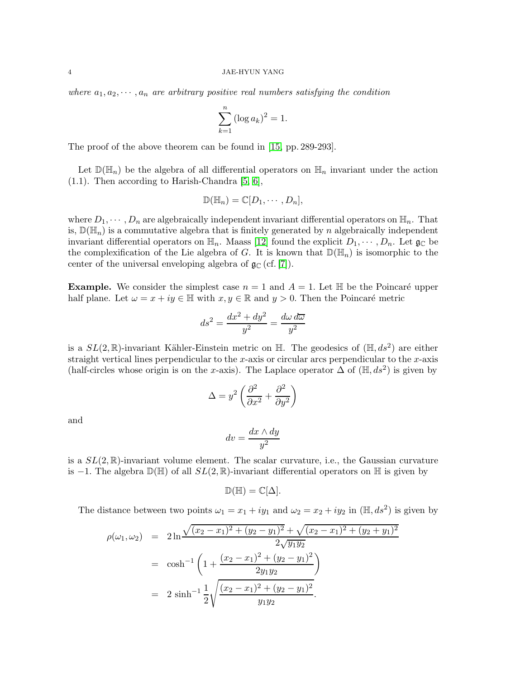where  $a_1, a_2, \dots, a_n$  are arbitrary positive real numbers satisfying the condition

$$
\sum_{k=1}^{n} (\log a_k)^2 = 1.
$$

The proof of the above theorem can be found in [\[15,](#page-6-0) pp. 289-293].

Let  $\mathbb{D}(\mathbb{H}_n)$  be the algebra of all differential operators on  $\mathbb{H}_n$  invariant under the action  $(1.1)$ . Then according to Harish-Chandra [\[5,](#page-6-4) [6\]](#page-6-5),

$$
\mathbb{D}(\mathbb{H}_n)=\mathbb{C}[D_1,\cdots,D_n],
$$

where  $D_1, \dots, D_n$  are algebraically independent invariant differential operators on  $\mathbb{H}_n$ . That is,  $\mathbb{D}(\mathbb{H}_n)$  is a commutative algebra that is finitely generated by n algebraically independent invariant differential operators on  $\mathbb{H}_n$ . Maass [\[12\]](#page-6-1) found the explicit  $D_1, \dots, D_n$ . Let  $\mathfrak{g}_\mathbb{C}$  be the complexification of the Lie algebra of G. It is known that  $\mathbb{D}(\mathbb{H}_n)$  is isomorphic to the center of the universal enveloping algebra of  $\mathfrak{g}_{\mathbb{C}}$  (cf. [\[7\]](#page-6-6)).

**Example.** We consider the simplest case  $n = 1$  and  $A = 1$ . Let  $\mathbb{H}$  be the Poincaré upper half plane. Let  $\omega = x + iy \in \mathbb{H}$  with  $x, y \in \mathbb{R}$  and  $y > 0$ . Then the Poincaré metric

$$
ds^2 = \frac{dx^2 + dy^2}{y^2} = \frac{d\omega \, d\overline{\omega}}{y^2}
$$

is a  $SL(2,\mathbb{R})$ -invariant Kähler-Einstein metric on  $\mathbb{H}$ . The geodesics of  $(\mathbb{H}, ds^2)$  are either straight vertical lines perpendicular to the x-axis or circular arcs perpendicular to the  $x$ -axis (half-circles whose origin is on the x-axis). The Laplace operator  $\Delta$  of  $(\mathbb{H}, ds^2)$  is given by

$$
\Delta = y^2 \left( \frac{\partial^2}{\partial x^2} + \frac{\partial^2}{\partial y^2} \right)
$$

and

$$
dv = \frac{dx \wedge dy}{y^2}
$$

is a  $SL(2,\mathbb{R})$ -invariant volume element. The scalar curvature, i.e., the Gaussian curvature is −1. The algebra  $\mathbb{D}(\mathbb{H})$  of all  $SL(2,\mathbb{R})$ -invariant differential operators on  $\mathbb{H}$  is given by

$$
\mathbb{D}(\mathbb{H})=\mathbb{C}[\Delta].
$$

The distance between two points  $\omega_1 = x_1 + iy_1$  and  $\omega_2 = x_2 + iy_2$  in  $(\mathbb{H}, ds^2)$  is given by

$$
\rho(\omega_1, \omega_2) = 2 \ln \frac{\sqrt{(x_2 - x_1)^2 + (y_2 - y_1)^2} + \sqrt{(x_2 - x_1)^2 + (y_2 + y_1)^2}}{2\sqrt{y_1 y_2}}
$$
  
=  $\cosh^{-1} \left( 1 + \frac{(x_2 - x_1)^2 + (y_2 - y_1)^2}{2y_1 y_2} \right)$   
=  $2 \sinh^{-1} \frac{1}{2} \sqrt{\frac{(x_2 - x_1)^2 + (y_2 - y_1)^2}{y_1 y_2}}$ .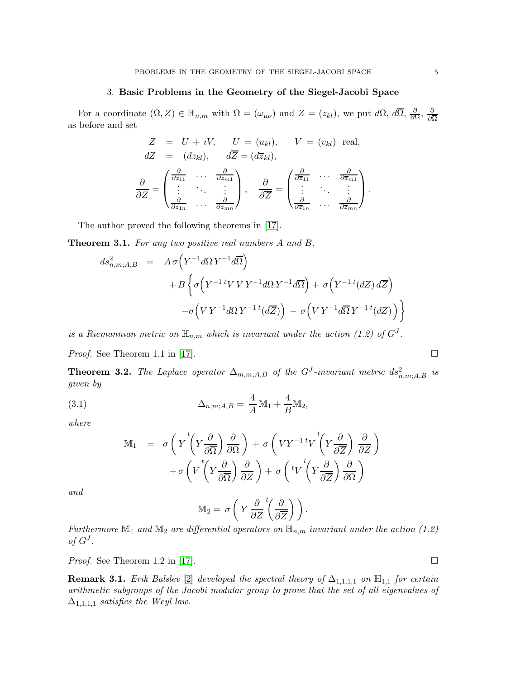## 3. Basic Problems in the Geometry of the Siegel-Jacobi Space

For a coordinate  $(\Omega, Z) \in \mathbb{H}_{n,m}$  with  $\Omega = (\omega_{\mu\nu})$  and  $Z = (z_{kl})$ , we put  $d\Omega$ ,  $d\overline{\Omega}$ ,  $\frac{\partial}{\partial \Omega}$  $\frac{\partial}{\partial \Omega},\,\frac{\partial}{\partial \overline{\Omega}}$ ∂Ω as before and set

$$
Z = U + iV, \t U = (u_{kl}), \t V = (v_{kl}) \t real,\ndZ = (dz_{kl}), \t d\overline{Z} = (d\overline{z}_{kl}),\n\frac{\partial}{\partial Z} = \begin{pmatrix} \frac{\partial}{\partial z_{11}} & \cdots & \frac{\partial}{\partial z_{m1}} \\ \vdots & \ddots & \vdots \\ \frac{\partial}{\partial z_{1n}} & \cdots & \frac{\partial}{\partial z_{mn}} \end{pmatrix}, \t \frac{\partial}{\partial \overline{Z}} = \begin{pmatrix} \frac{\partial}{\partial \overline{z}_{11}} & \cdots & \frac{\partial}{\partial \overline{z}_{m1}} \\ \vdots & \ddots & \vdots \\ \frac{\partial}{\partial \overline{z}_{1n}} & \cdots & \frac{\partial}{\partial \overline{z}_{mn}} \end{pmatrix}.
$$

The author proved the following theorems in [\[17\]](#page-6-7).

**Theorem 3.1.** For any two positive real numbers A and B,

$$
ds_{n,m;A,B}^2 = A\sigma \Big(Y^{-1}d\Omega Y^{-1}d\overline{\Omega}\Big)
$$
  
+ 
$$
B\Big\{\sigma \Big(Y^{-1}tVVY^{-1}d\Omega Y^{-1}d\overline{\Omega}\Big) + \sigma \Big(Y^{-1}{}^t(dZ) d\overline{Z}\Big)
$$
  
-
$$
-\sigma \Big(VY^{-1}d\Omega Y^{-1}{}^t(d\overline{Z})\Big) - \sigma \Big(VY^{-1}d\overline{\Omega} Y^{-1}{}^t(dZ)\Big)\Big\}
$$

is a Riemannian metric on  $\mathbb{H}_{n,m}$  which is invariant under the action (1.2) of  $G<sup>J</sup>$ .

*Proof.* See Theorem 1.1 in [\[17\]](#page-6-7).

**Theorem 3.2.** The Laplace operator  $\Delta_{m,m;A,B}$  of the  $G^J$ -invariant metric  $ds^2_{n,m;A,B}$  is given by

(3.1) 
$$
\Delta_{n,m;A,B} = \frac{4}{A} \mathbb{M}_1 + \frac{4}{B} \mathbb{M}_2,
$$

where

$$
\mathbb{M}_{1} = \sigma \left( Y \left( Y \frac{\partial}{\partial \overline{\Omega}} \right) \frac{\partial}{\partial \Omega} \right) + \sigma \left( V Y^{-1} t V \left( Y \frac{\partial}{\partial \overline{Z}} \right) \frac{\partial}{\partial Z} \right) + \sigma \left( V \left( Y \frac{\partial}{\partial \overline{\Omega}} \right) \frac{\partial}{\partial Z} \right) + \sigma \left( t V \left( Y \frac{\partial}{\partial \overline{Z}} \right) \frac{\partial}{\partial \Omega} \right)
$$

and

$$
\mathbb{M}_2 = \sigma \left( Y \frac{\partial}{\partial Z}^t \left( \frac{\partial}{\partial \overline{Z}} \right) \right).
$$

Furthermore  $\mathbb{M}_1$  and  $\mathbb{M}_2$  are differential operators on  $\mathbb{H}_{n,m}$  invariant under the action (1.2) of  $G^J$ .

*Proof.* See Theorem 1.2 in [\[17\]](#page-6-7).

**Remark 3.1.** Erik Balslev [\[2\]](#page-6-8) developed the spectral theory of  $\Delta_{1,1;1,1}$  on  $\mathbb{H}_{1,1}$  for certain arithmetic subgroups of the Jacobi modular group to prove that the set of all eigenvalues of  $\Delta_{1,1;1,1}$  satisfies the Weyl law.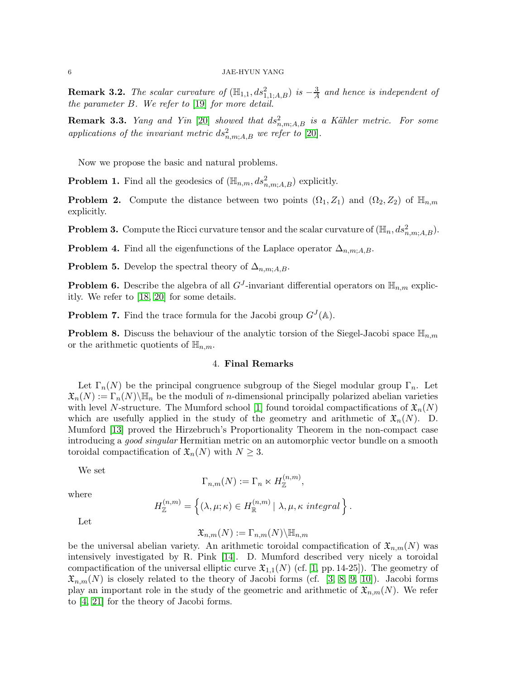**Remark 3.2.** The scalar curvature of  $(\mathbb{H}_{1,1}, ds_{1,1;A,B}^2)$  is  $-\frac{3}{A}$  and hence is independent of the parameter B. We refer to [\[19\]](#page-6-9) for more detail.

**Remark 3.3.** Yang and Yin [\[20\]](#page-6-10) showed that  $ds_{n,m;A,B}^2$  is a Kähler metric. For some applications of the invariant metric  $ds_{n,m;A,B}^2$  we refer to [\[20\]](#page-6-10).

Now we propose the basic and natural problems.

**Problem 1.** Find all the geodesics of  $(\mathbb{H}_{n,m}, ds^2_{n,m;A,B})$  explicitly.

**Problem 2.** Compute the distance between two points  $(\Omega_1, Z_1)$  and  $(\Omega_2, Z_2)$  of  $\mathbb{H}_{n,m}$ explicitly.

**Problem 3.** Compute the Ricci curvature tensor and the scalar curvature of  $(\mathbb{H}_n, ds^2_{n,m;A,B})$ .

**Problem 4.** Find all the eigenfunctions of the Laplace operator  $\Delta_{n,m;A,B}$ .

**Problem 5.** Develop the spectral theory of  $\Delta_{n,m;A,B}$ .

**Problem 6.** Describe the algebra of all  $G<sup>J</sup>$ -invariant differential operators on  $\mathbb{H}_{n,m}$  explicitly. We refer to [\[18,](#page-6-11) [20\]](#page-6-10) for some details.

**Problem 7.** Find the trace formula for the Jacobi group  $G^{J}(\mathbb{A})$ .

**Problem 8.** Discuss the behaviour of the analytic torsion of the Siegel-Jacobi space  $\mathbb{H}_{n,m}$ or the arithmetic quotients of  $\mathbb{H}_{n,m}$ .

# 4. Final Remarks

Let  $\Gamma_n(N)$  be the principal congruence subgroup of the Siegel modular group  $\Gamma_n$ . Let  $\mathfrak{X}_n(N) := \Gamma_n(N) \backslash \mathbb{H}_n$  be the moduli of *n*-dimensional principally polarized abelian varieties with level N-structure. The Mumford school [\[1\]](#page-6-12) found toroidal compactifications of  $\mathfrak{X}_n(N)$ which are usefully applied in the study of the geometry and arithmetic of  $\mathfrak{X}_n(N)$ . D. Mumford [\[13\]](#page-6-13) proved the Hirzebruch's Proportionality Theorem in the non-compact case introducing a good singular Hermitian metric on an automorphic vector bundle on a smooth toroidal compactification of  $\mathfrak{X}_n(N)$  with  $N \geq 3$ .

We set

$$
\Gamma_{n,m}(N) := \Gamma_n \ltimes H_{\mathbb{Z}}^{(n,m)},
$$

where

$$
H_{\mathbb{Z}}^{(n,m)} = \left\{ (\lambda, \mu; \kappa) \in H_{\mathbb{R}}^{(n,m)} \, | \, \lambda, \mu, \kappa \text{ integral} \right\}.
$$

Let

$$
\mathfrak{X}_{n,m}(N):=\Gamma_{n,m}(N)\backslash\mathbb{H}_{n,m}
$$

be the universal abelian variety. An arithmetic toroidal compactification of  $\mathfrak{X}_{n,m}(N)$  was intensively investigated by R. Pink [\[14\]](#page-6-14). D. Mumford described very nicely a toroidal compactification of the universal elliptic curve  $\mathfrak{X}_{1,1}(N)$  (cf. [\[1,](#page-6-12) pp. 14-25]). The geometry of  $\mathfrak{X}_{n,m}(N)$  is closely related to the theory of Jacobi forms (cf. [\[3,](#page-6-15) [8,](#page-6-16) [9,](#page-6-17) [10\]](#page-6-18)). Jacobi forms play an important role in the study of the geometric and arithmetic of  $\mathfrak{X}_{n,m}(N)$ . We refer to [\[4,](#page-6-19) [21\]](#page-6-20) for the theory of Jacobi forms.